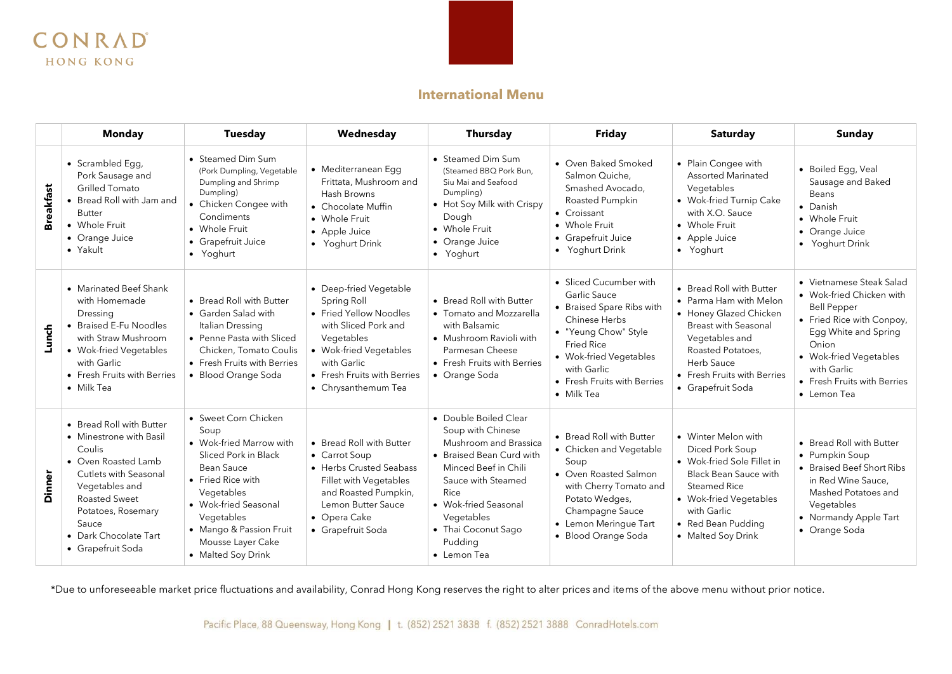

## **International Menu**

|                  | <b>Monday</b>                                                                                                                                                                                                                 | <b>Tuesday</b>                                                                                                                                                                                                                               | Wednesday                                                                                                                                                                                            | <b>Thursday</b>                                                                                                                                                                                                                              | <b>Friday</b>                                                                                                                                                                                                           | <b>Saturday</b>                                                                                                                                                                                                  | Sunday                                                                                                                                                                                                                          |
|------------------|-------------------------------------------------------------------------------------------------------------------------------------------------------------------------------------------------------------------------------|----------------------------------------------------------------------------------------------------------------------------------------------------------------------------------------------------------------------------------------------|------------------------------------------------------------------------------------------------------------------------------------------------------------------------------------------------------|----------------------------------------------------------------------------------------------------------------------------------------------------------------------------------------------------------------------------------------------|-------------------------------------------------------------------------------------------------------------------------------------------------------------------------------------------------------------------------|------------------------------------------------------------------------------------------------------------------------------------------------------------------------------------------------------------------|---------------------------------------------------------------------------------------------------------------------------------------------------------------------------------------------------------------------------------|
| <b>Breakfast</b> | • Scrambled Egg,<br>Pork Sausage and<br><b>Grilled Tomato</b><br>• Bread Roll with Jam and<br>Butter<br>• Whole Fruit<br>• Orange Juice<br>• Yakult                                                                           | • Steamed Dim Sum<br>(Pork Dumpling, Vegetable<br>Dumpling and Shrimp<br>Dumpling)<br>• Chicken Congee with<br>Condiments<br>• Whole Fruit<br>• Grapefruit Juice<br>• Yoghurt                                                                | • Mediterranean Egg<br>Frittata, Mushroom and<br>Hash Browns<br>• Chocolate Muffin<br>• Whole Fruit<br>• Apple Juice<br>• Yoghurt Drink                                                              | • Steamed Dim Sum<br>(Steamed BBQ Pork Bun,<br>Siu Mai and Seafood<br>Dumpling)<br>• Hot Soy Milk with Crispy<br>Dough<br>• Whole Fruit<br>• Orange Juice<br>• Yoghurt                                                                       | • Oven Baked Smoked<br>Salmon Quiche.<br>Smashed Avocado.<br>Roasted Pumpkin<br>• Croissant<br>• Whole Fruit<br>• Grapefruit Juice<br>• Yoghurt Drink                                                                   | • Plain Congee with<br><b>Assorted Marinated</b><br>Vegetables<br>• Wok-fried Turnip Cake<br>with X.O. Sauce<br>• Whole Fruit<br>• Apple Juice<br>• Yoghurt                                                      | • Boiled Egg, Veal<br>Sausage and Baked<br>Beans<br>• Danish<br>• Whole Fruit<br>• Orange Juice<br>• Yoghurt Drink                                                                                                              |
| Lunch            | • Marinated Beef Shank<br>with Homemade<br>Dressing<br>• Braised E-Fu Noodles<br>with Straw Mushroom<br>• Wok-fried Vegetables<br>with Garlic<br>• Fresh Fruits with Berries<br>$\bullet$ Milk Tea                            | • Bread Roll with Butter<br>• Garden Salad with<br>Italian Dressing<br>• Penne Pasta with Sliced<br>Chicken, Tomato Coulis<br>• Fresh Fruits with Berries<br>· Blood Orange Soda                                                             | • Deep-fried Vegetable<br>Spring Roll<br>• Fried Yellow Noodles<br>with Sliced Pork and<br>Vegetables<br>• Wok-fried Vegetables<br>with Garlic<br>• Fresh Fruits with Berries<br>• Chrysanthemum Tea | • Bread Roll with Butter<br>• Tomato and Mozzarella<br>with Balsamic<br>• Mushroom Ravioli with<br>Parmesan Cheese<br>• Fresh Fruits with Berries<br>• Orange Soda                                                                           | • Sliced Cucumber with<br><b>Garlic Sauce</b><br>• Braised Spare Ribs with<br>Chinese Herbs<br>• "Yeung Chow" Style<br>Fried Rice<br>• Wok-fried Vegetables<br>with Garlic<br>• Fresh Fruits with Berries<br>• Milk Tea | • Bread Roll with Butter<br>• Parma Ham with Melon<br>• Honey Glazed Chicken<br>Breast with Seasonal<br>Vegetables and<br>Roasted Potatoes.<br>Herb Sauce<br>• Fresh Fruits with Berries<br>• Grapefruit Soda    | • Vietnamese Steak Salad<br>• Wok-fried Chicken with<br><b>Bell Pepper</b><br>• Fried Rice with Conpoy,<br>Egg White and Spring<br>Onion<br>• Wok-fried Vegetables<br>with Garlic<br>• Fresh Fruits with Berries<br>• Lemon Tea |
| Dinner           | • Bread Roll with Butter<br>• Minestrone with Basil<br>Coulis<br>• Oven Roasted Lamb<br>Cutlets with Seasonal<br>Vegetables and<br>Roasted Sweet<br>Potatoes, Rosemary<br>Sauce<br>• Dark Chocolate Tart<br>• Grapefruit Soda | • Sweet Corn Chicken<br>Soup<br>• Wok-fried Marrow with<br>Sliced Pork in Black<br>Bean Sauce<br>• Fried Rice with<br>Vegetables<br>• Wok-fried Seasonal<br>Vegetables<br>• Mango & Passion Fruit<br>Mousse Layer Cake<br>• Malted Soy Drink | • Bread Roll with Butter<br>• Carrot Soup<br>• Herbs Crusted Seabass<br>Fillet with Vegetables<br>and Roasted Pumpkin,<br>Lemon Butter Sauce<br>• Opera Cake<br>• Grapefruit Soda                    | • Double Boiled Clear<br>Soup with Chinese<br>Mushroom and Brassica<br>• Braised Bean Curd with<br>Minced Beef in Chili<br>Sauce with Steamed<br>Rice<br>• Wok-fried Seasonal<br>Vegetables<br>• Thai Coconut Sago<br>Pudding<br>• Lemon Tea | • Bread Roll with Butter<br>• Chicken and Vegetable<br>Soup<br>• Oven Roasted Salmon<br>with Cherry Tomato and<br>Potato Wedges,<br>Champagne Sauce<br>• Lemon Meringue Tart<br>• Blood Orange Soda                     | • Winter Melon with<br>Diced Pork Soup<br>• Wok-fried Sole Fillet in<br><b>Black Bean Sauce with</b><br><b>Steamed Rice</b><br>• Wok-fried Vegetables<br>with Garlic<br>• Red Bean Pudding<br>• Malted Soy Drink | • Bread Roll with Butter<br>• Pumpkin Soup<br>• Braised Beef Short Ribs<br>in Red Wine Sauce.<br>Mashed Potatoes and<br>Vegetables<br>• Normandy Apple Tart<br>• Orange Soda                                                    |

\*Due to unforeseeable market price fluctuations and availability, Conrad Hong Kong reserves the right to alter prices and items of the above menu without prior notice.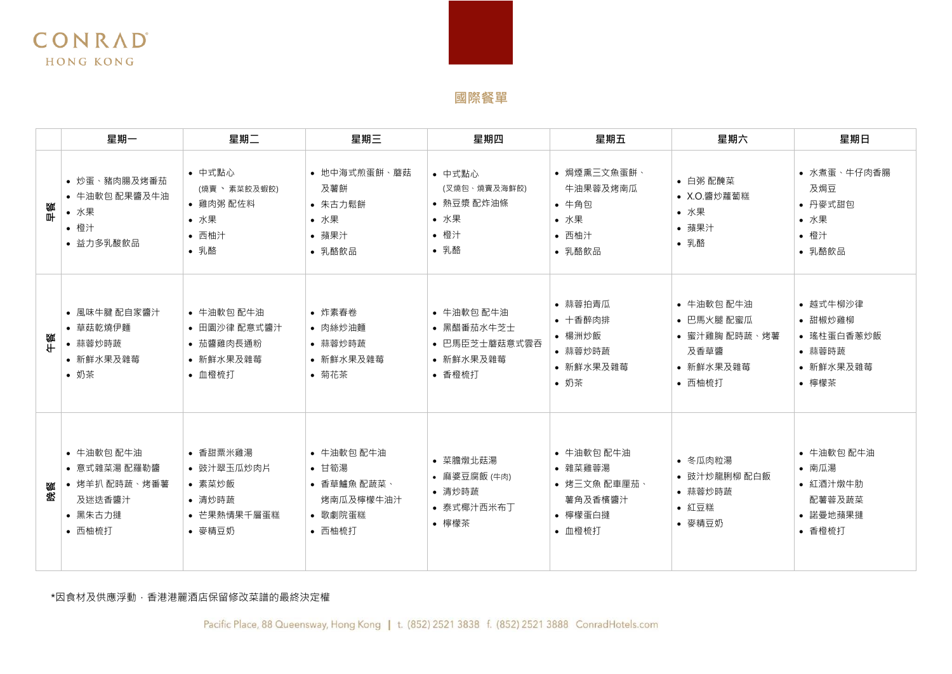# **國際餐單**

|        | 星期一                                                                        | 星期二                                                                 | 星期三                                                                  | 星期四                                                              | 星期五                                                                   | 星期六                                                                      | 星期日                                                               |
|--------|----------------------------------------------------------------------------|---------------------------------------------------------------------|----------------------------------------------------------------------|------------------------------------------------------------------|-----------------------------------------------------------------------|--------------------------------------------------------------------------|-------------------------------------------------------------------|
| 鰴<br>⊪ | • 炒蛋、豬肉腸及烤番茄<br>• 牛油軟包 配果醬及牛油<br>• 水果<br>• 橙汁<br>• 益力多乳酸飲品                 | • 中式點心<br>(燒賣 、 素菜餃及蝦餃)<br>• 雞肉粥 配佐料<br>• 水果<br>• 西柚汁<br>• 乳酪       | • 地中海式煎蛋餅、蘑菇<br>及薯餅<br>• 朱古力鬆餅<br>• 水果<br>• 蘋果汁<br>• 乳酪飲品            | • 中式點心<br>(叉燒包、燒賣及海鮮餃)<br>• 熱豆漿 配炸油條<br>• 水果<br>• 橙汁<br>• 乳酪     | • 焗煙熏三文魚蛋餅、<br>牛油果蓉及烤南瓜<br>• 牛角包<br>• 水果<br>• 西柚汁<br>• 乳酪飲品           | • 白粥 配醃菜<br>• X.O.醬炒蘿蔔糕<br>• 水果<br>• 蘋果汁<br>• 乳酪                         | • 水煮蛋、牛仔肉香腸<br>及焗豆<br>• 丹麥式甜包<br>• 水果<br>• 橙汁<br>• 乳酪飲品           |
|        | • 風味牛腱 配自家醬汁<br>• 草菇乾燒伊麵<br>• 蒜蓉炒時蔬<br>• 新鮮水果及雜莓<br>• 奶茶                   | • 牛油軟包 配牛油<br>• 田園沙律 配意式醬汁<br>• 茄醬雞肉長通粉<br>• 新鮮水果及雜莓<br>• 血橙梳打      | • 炸素春卷<br>• 肉絲炒油麵<br>• 蒜蓉炒時蔬<br>• 新鮮水果及雜莓<br>• 菊花茶                   | • 牛油軟包 配牛油<br>• 黑醋番茄水牛芝士<br>• 巴馬臣芝士蘑菇意式雲吞<br>• 新鮮水果及雜莓<br>• 香橙梳打 | • 蒜蓉拍青瓜<br>• 十香醉肉排<br>• 楊洲炒飯<br>• 蒜蓉炒時蔬<br>• 新鮮水果及雜莓<br>• 奶茶          | • 牛油軟包 配牛油<br>• 巴馬火腿 配蜜瓜<br>• 蜜汁雞胸 配時蔬、烤薯<br>及香草醬<br>• 新鮮水果及雜莓<br>• 西柚梳打 | • 越式牛柳沙律<br>• 甜椒炒雞柳<br>• 瑤柱蛋白香蔥炒飯<br>• 蒜蓉時蔬<br>• 新鮮水果及雜莓<br>• 檸檬茶 |
| 餐<br>密 | • 牛油軟包 配牛油<br>● 意式雜菜湯 配羅勒醬<br>• 烤羊扒 配時蔬、烤番薯<br>及迷迭香醬汁<br>• 黑朱古力撻<br>• 西柚梳打 | • 香甜粟米雞湯<br>• 豉汁翠玉瓜炒肉片<br>• 素菜炒飯<br>• 清炒時蔬<br>• 芒果熱情果千層蛋糕<br>• 麥精豆奶 | • 牛油軟包 配牛油<br>• 甘筍湯<br>• 香草鱸魚 配蔬菜、<br>烤南瓜及檸檬牛油汁<br>• 歌劇院蛋糕<br>• 西柚梳打 | • 菜膽燉北菇湯<br>• 麻婆豆腐飯 (牛肉)<br>• 清炒時蔬<br>• 泰式椰汁西米布丁<br>• 檸檬茶        | • 牛油軟包 配牛油<br>• 雜菜雞蓉湯<br>• 烤三文魚 配車厘茄、<br>薯角及香檳醬汁<br>• 檸檬蛋白撻<br>• 血橙梳打 | • 冬瓜肉粒湯<br>• 豉汁炒龍脷柳 配白飯<br>• 蒜蓉炒時蔬<br>• 紅豆糕<br>• 麥精豆奶                    | • 牛油軟包 配牛油<br>• 南瓜湯<br>• 紅酒汁燉牛肋<br>配薯蓉及蔬菜<br>• 諾曼地蘋果撻<br>• 香橙梳打   |

### \*因食材及供應浮動,香港港麗酒店保留修改菜譜的最終決定權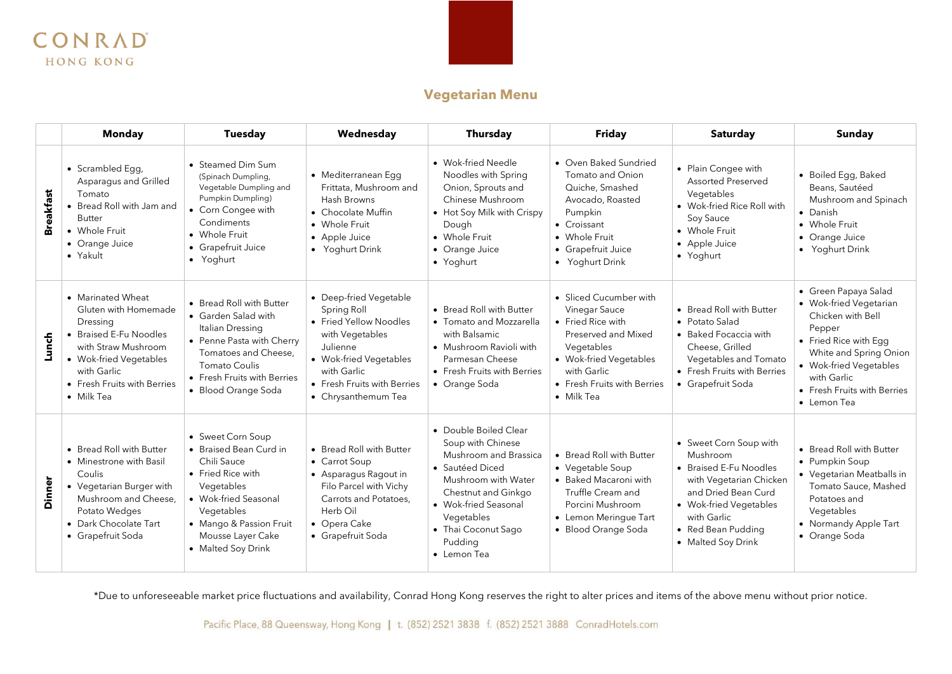

## **Vegetarian Menu**

|                  | <b>Monday</b>                                                                                                                                                                                | <b>Tuesday</b>                                                                                                                                                                                            | Wednesday                                                                                                                                                                                     | <b>Thursday</b>                                                                                                                                                                                                                     | <b>Friday</b>                                                                                                                                                                           | <b>Saturday</b>                                                                                                                                                                                     | Sunday                                                                                                                                                                                                                  |
|------------------|----------------------------------------------------------------------------------------------------------------------------------------------------------------------------------------------|-----------------------------------------------------------------------------------------------------------------------------------------------------------------------------------------------------------|-----------------------------------------------------------------------------------------------------------------------------------------------------------------------------------------------|-------------------------------------------------------------------------------------------------------------------------------------------------------------------------------------------------------------------------------------|-----------------------------------------------------------------------------------------------------------------------------------------------------------------------------------------|-----------------------------------------------------------------------------------------------------------------------------------------------------------------------------------------------------|-------------------------------------------------------------------------------------------------------------------------------------------------------------------------------------------------------------------------|
| <b>Breakfast</b> | • Scrambled Egg,<br>Asparagus and Grilled<br>Tomato<br>• Bread Roll with Jam and<br><b>Butter</b><br>• Whole Fruit<br>• Orange Juice<br>• Yakult                                             | • Steamed Dim Sum<br>(Spinach Dumpling,<br>Vegetable Dumpling and<br>Pumpkin Dumpling)<br>• Corn Congee with<br>Condiments<br>• Whole Fruit<br>• Grapefruit Juice<br>· Yoghurt                            | • Mediterranean Egg<br>Frittata, Mushroom and<br>Hash Browns<br>• Chocolate Muffin<br>• Whole Fruit<br>• Apple Juice<br>• Yoghurt Drink                                                       | • Wok-fried Needle<br>Noodles with Spring<br>Onion, Sprouts and<br>Chinese Mushroom<br>• Hot Soy Milk with Crispy<br>Dough<br>• Whole Fruit<br>• Orange Juice<br>• Yoghurt                                                          | • Oven Baked Sundried<br>Tomato and Onion<br>Quiche, Smashed<br>Avocado, Roasted<br>Pumpkin<br>• Croissant<br>• Whole Fruit<br>• Grapefruit Juice<br>• Yoghurt Drink                    | • Plain Congee with<br>Assorted Preserved<br>Vegetables<br>• Wok-fried Rice Roll with<br>Soy Sauce<br>• Whole Fruit<br>• Apple Juice<br>· Yoghurt                                                   | • Boiled Egg, Baked<br>Beans, Sautéed<br>Mushroom and Spinach<br>• Danish<br>• Whole Fruit<br>• Orange Juice<br>• Yoghurt Drink                                                                                         |
| Lunch            | • Marinated Wheat<br>Gluten with Homemade<br>Dressing<br>• Braised E-Fu Noodles<br>with Straw Mushroom<br>• Wok-fried Vegetables<br>with Garlic<br>• Fresh Fruits with Berries<br>• Milk Tea | • Bread Roll with Butter<br>• Garden Salad with<br>Italian Dressing<br>• Penne Pasta with Cherry<br>Tomatoes and Cheese.<br>Tomato Coulis<br>• Fresh Fruits with Berries<br>• Blood Orange Soda           | • Deep-fried Vegetable<br>Spring Roll<br>• Fried Yellow Noodles<br>with Vegetables<br>Julienne<br>• Wok-fried Vegetables<br>with Garlic<br>• Fresh Fruits with Berries<br>• Chrysanthemum Tea | • Bread Roll with Butter<br>• Tomato and Mozzarella<br>with Balsamic<br>• Mushroom Ravioli with<br>Parmesan Cheese<br>• Fresh Fruits with Berries<br>• Orange Soda                                                                  | • Sliced Cucumber with<br>Vinegar Sauce<br>• Fried Rice with<br>Preserved and Mixed<br>Vegetables<br>• Wok-fried Vegetables<br>with Garlic<br>• Fresh Fruits with Berries<br>• Milk Tea | • Bread Roll with Butter<br>• Potato Salad<br>• Baked Focaccia with<br>Cheese, Grilled<br>Vegetables and Tomato<br>• Fresh Fruits with Berries<br>• Grapefruit Soda                                 | • Green Papaya Salad<br>• Wok-fried Vegetarian<br>Chicken with Bell<br>Pepper<br>• Fried Rice with Egg<br>White and Spring Onion<br>• Wok-fried Vegetables<br>with Garlic<br>• Fresh Fruits with Berries<br>• Lemon Tea |
| Dinner           | • Bread Roll with Butter<br>• Minestrone with Basil<br>Coulis<br>• Vegetarian Burger with<br>Mushroom and Cheese.<br>Potato Wedges<br>• Dark Chocolate Tart<br>• Grapefruit Soda             | • Sweet Corn Soup<br>• Braised Bean Curd in<br>Chili Sauce<br>• Fried Rice with<br>Vegetables<br>• Wok-fried Seasonal<br>Vegetables<br>• Mango & Passion Fruit<br>Mousse Layer Cake<br>• Malted Soy Drink | • Bread Roll with Butter<br>• Carrot Soup<br>• Asparagus Ragout in<br>Filo Parcel with Vichy<br>Carrots and Potatoes,<br>Herb Oil<br>• Opera Cake<br>• Grapefruit Soda                        | • Double Boiled Clear<br>Soup with Chinese<br>Mushroom and Brassica<br>• Sautéed Diced<br>Mushroom with Water<br>Chestnut and Ginkgo<br>• Wok-fried Seasonal<br>Vegetables<br>• Thai Coconut Sago<br>Pudding<br>$\bullet$ Lemon Tea | • Bread Roll with Butter<br>• Vegetable Soup<br>• Baked Macaroni with<br>Truffle Cream and<br>Porcini Mushroom<br>• Lemon Merinque Tart<br>· Blood Orange Soda                          | • Sweet Corn Soup with<br>Mushroom<br>• Braised E-Fu Noodles<br>with Vegetarian Chicken<br>and Dried Bean Curd<br>• Wok-fried Vegetables<br>with Garlic<br>• Red Bean Pudding<br>• Malted Soy Drink | • Bread Roll with Butter<br>• Pumpkin Soup<br>• Vegetarian Meatballs in<br>Tomato Sauce, Mashed<br>Potatoes and<br>Vegetables<br>• Normandy Apple Tart<br>• Orange Soda                                                 |

\*Due to unforeseeable market price fluctuations and availability, Conrad Hong Kong reserves the right to alter prices and items of the above menu without prior notice.